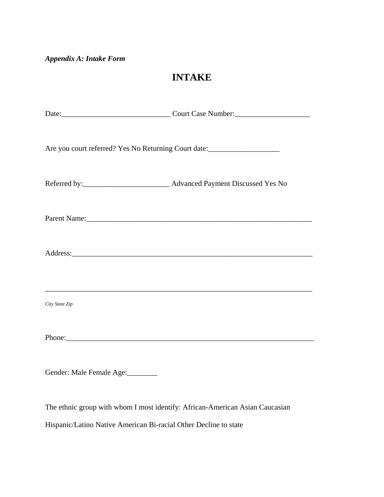## *Appendix A: Intake Form*

## **INTAKE**

| Are you court referred? Yes No Returning Court date:             |                                                                              |  |  |
|------------------------------------------------------------------|------------------------------------------------------------------------------|--|--|
|                                                                  |                                                                              |  |  |
|                                                                  | Parent Name: 1988                                                            |  |  |
|                                                                  |                                                                              |  |  |
| City State Zip                                                   |                                                                              |  |  |
|                                                                  |                                                                              |  |  |
| Gender: Male Female Age:                                         |                                                                              |  |  |
|                                                                  | The ethnic group with whom I most identify: African-American Asian Caucasian |  |  |
| Hispanic/Latino Native American Bi-racial Other Decline to state |                                                                              |  |  |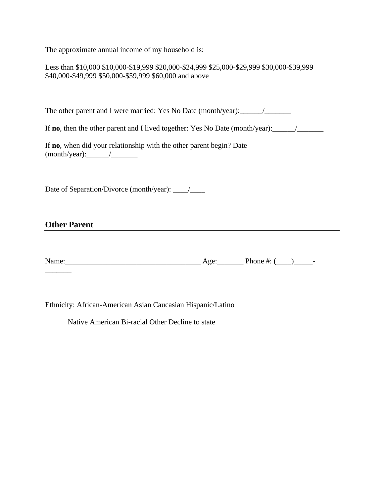The approximate annual income of my household is:

| Less than \$10,000 \$10,000-\$19,999 \$20,000-\$24,999 \$25,000-\$29,999 \$30,000-\$39,999 |
|--------------------------------------------------------------------------------------------|
| \$40,000-\$49,999 \$50,000-\$59,999 \$60,000 and above                                     |

The other parent and I were married: Yes No Date (month/year):\_\_\_\_\_\_/\_\_\_\_\_\_\_

If **no**, then the other parent and I lived together: Yes No Date (month/year):\_\_\_\_\_\_/\_\_\_\_\_\_\_

If **no**, when did your relationship with the other parent begin? Date (month/year):\_\_\_\_\_\_/\_\_\_\_\_\_\_

Date of Separation/Divorce (month/year): \_\_\_\_/\_\_\_\_

## **Other Parent**

 $\overline{\phantom{a}}$ 

| Name | ν   | ۱n۵<br>onc |  |
|------|-----|------------|--|
|      | . . |            |  |

Ethnicity: African-American Asian Caucasian Hispanic/Latino

Native American Bi-racial Other Decline to state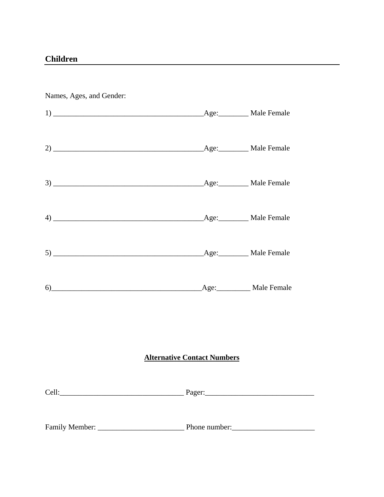Names, Ages, and Gender:

| <b>Alternative Contact Numbers</b> |  |  |
|------------------------------------|--|--|

<u> 1980 - Johann Stein, marwolaethau a bh</u>